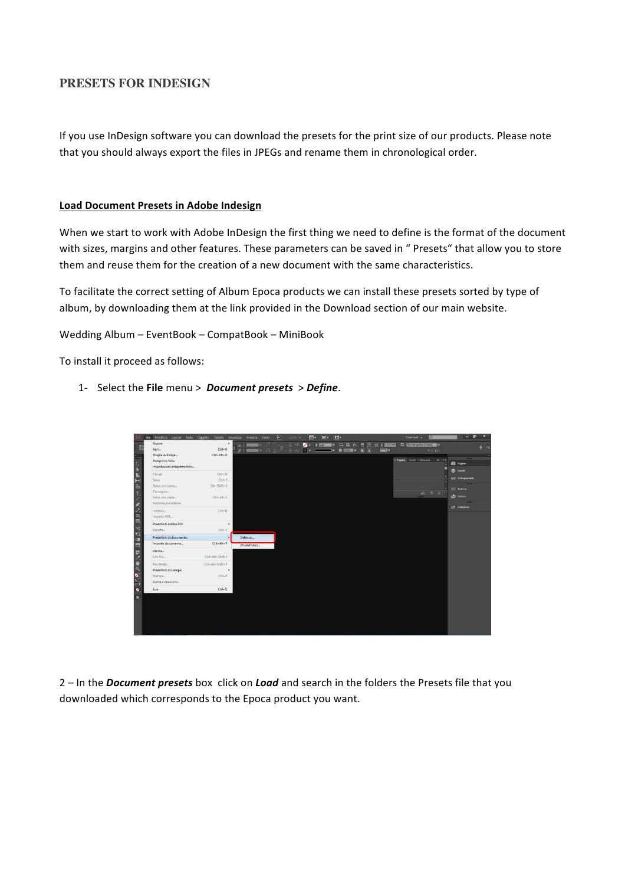## **PRESETS FOR INDESIGN**

If you use InDesign software you can download the presets for the print size of our products. Please note that you should always export the files in JPEGs and rename them in chronological order.

## **Load Document Presets in Adobe Indesign**

When we start to work with Adobe InDesign the first thing we need to define is the format of the document with sizes, margins and other features. These parameters can be saved in " Presets" that allow you to store them and reuse them for the creation of a new document with the same characteristics.

To facilitate the correct setting of Album Epoca products we can install these presets sorted by type of album, by downloading them at the link provided in the Download section of our main website.

Wedding Album - EventBook - CompatBook - MiniBook

To install it proceed as follows:

1- Select the File menu > *Document presets* > *Define*.

|        | File Modifica Layout Testo Oggetto Tabella Visualizza Finestra Aiuto |                  |                      | n <br>100% -<br>m.                                               | $\Box$     | <b>III</b>     |                | Essenziali -<br>$\circ$                                          | $\overline{\mathbf{x}}$<br>ச<br>_     |
|--------|----------------------------------------------------------------------|------------------|----------------------|------------------------------------------------------------------|------------|----------------|----------------|------------------------------------------------------------------|---------------------------------------|
|        | Nuovo                                                                | ٠                | $\blacktriangle$ $=$ | $C_1 \supseteq \mathbb{Z}^2$ and $\mathbb{Z}^2$<br>$\mathcal{L}$ | $-1x$<br>E | 口口 fx, 画画      |                | $m'$ $\div$ (4233 mm) $EL$ (Comica grains of base) $\rightarrow$ |                                       |
|        | Apri                                                                 | $Cut + O$        | $q = 1$              | ■ のるごっかん<br><b>DF</b>                                            | ы          | 图 100% 下 100 三 | $\blacksquare$ | <b>MD DK</b>                                                     | $4 =$                                 |
|        | Sfoglia in Bridge                                                    | Ctrl+Alt+O       |                      |                                                                  |            |                |                |                                                                  | <b>CONTRACTOR</b>                     |
|        | Anteprima folio                                                      |                  |                      |                                                                  |            |                |                | O Pagine Livelli Collegame >>>   +=                              | <b>illi</b> Pagine                    |
|        | Impostazioni anteprima folio                                         |                  |                      |                                                                  |            |                |                |                                                                  | the Livelin                           |
|        | Chiudi                                                               | $Ctrl + W$       |                      |                                                                  |            |                |                |                                                                  |                                       |
|        | Salva                                                                | $Ctrl + S$       |                      |                                                                  |            |                |                |                                                                  | GD Collegamenti                       |
| ñа     | Salva con nome                                                       | Ctrl+Shift+S     |                      |                                                                  |            |                |                |                                                                  | <b>COLOR</b><br>$\equiv$ Traccia      |
|        | Consegna                                                             |                  |                      |                                                                  |            |                |                | 品 目 曲                                                            |                                       |
|        | Salva una copia                                                      | $Ctrl + Alt + S$ |                      |                                                                  |            |                |                |                                                                  | colore                                |
|        | Versione precedente                                                  |                  |                      |                                                                  |            |                |                |                                                                  | $\overline{1}$<br><b>EFF</b> Campioni |
|        | Inserisci                                                            | $Ctrl - D$       |                      |                                                                  |            |                |                |                                                                  |                                       |
|        | Importa XML                                                          |                  |                      |                                                                  |            |                |                |                                                                  |                                       |
|        | Predefiniti Adobe PDF                                                | ٠                |                      |                                                                  |            |                |                |                                                                  |                                       |
| $\geq$ | Esporta                                                              | $CtrI + E$       |                      |                                                                  |            |                |                |                                                                  |                                       |
| т      | Predefiniti di documento                                             | ٠                | Definisci            |                                                                  |            |                |                |                                                                  |                                       |
| 國      | Imposta documento                                                    | Ctrl+Alt+P       | [Predefinito]        |                                                                  |            |                |                |                                                                  |                                       |
| 昆      | Utente                                                               |                  |                      |                                                                  |            |                |                |                                                                  |                                       |
|        | Info file                                                            | Ctrl+Alt+Shift+1 |                      |                                                                  |            |                |                |                                                                  |                                       |
|        | Pacchetto                                                            | Ctrl+Alt+Shift+P |                      |                                                                  |            |                |                |                                                                  |                                       |
|        | Predefiniti di stampa                                                | ×                |                      |                                                                  |            |                |                |                                                                  |                                       |
|        | Stampa                                                               | $Ctrl + P$       |                      |                                                                  |            |                |                |                                                                  |                                       |
| 日江     | Stampa opuscolo                                                      |                  |                      |                                                                  |            |                |                |                                                                  |                                       |
| z      | Esci                                                                 | $C$ trl+ $O$     |                      |                                                                  |            |                |                |                                                                  |                                       |
| $\Box$ |                                                                      |                  |                      |                                                                  |            |                |                |                                                                  |                                       |
|        |                                                                      |                  |                      |                                                                  |            |                |                |                                                                  |                                       |
|        |                                                                      |                  |                      |                                                                  |            |                |                |                                                                  |                                       |
|        |                                                                      |                  |                      |                                                                  |            |                |                |                                                                  |                                       |
|        |                                                                      |                  |                      |                                                                  |            |                |                |                                                                  |                                       |
|        |                                                                      |                  |                      |                                                                  |            |                |                |                                                                  |                                       |
|        |                                                                      |                  |                      |                                                                  |            |                |                |                                                                  |                                       |

2 – In the *Document presets* box click on *Load* and search in the folders the Presets file that you downloaded which corresponds to the Epoca product you want.